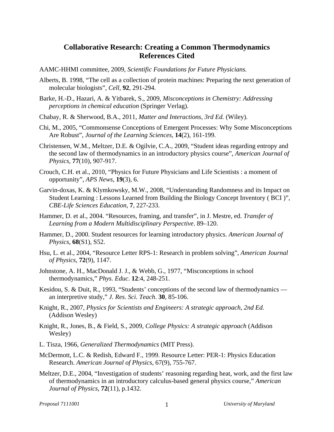## **Collaborative Research: Creating a Common Thermodynamics References Cited**

- AAMC-HHMI committee, 2009, *Scientific Foundations for Future Physicians.*
- Alberts, B. 1998, "The cell as a collection of protein machines: Preparing the next generation of molecular biologists", *Cell*, **92**, 291-294.
- Barke, H.-D., Hazari, A. & Yitbarek, S., 2009, *Misconceptions in Chemistry: Addressing perceptions in chemical education* (Springer Verlag).
- Chabay, R. & Sherwood, B.A., 2011, *Matter and Interactions, 3rd Ed.* (Wiley).
- Chi, M., 2005, "Commonsense Conceptions of Emergent Processes: Why Some Misconceptions Are Robust", *Journal of the Learning Sciences*, **14**(2), 161-199.
- Christensen, W.M., Meltzer, D.E. & Ogilvie, C.A., 2009, "Student ideas regarding entropy and the second law of thermodynamics in an introductory physics course", *American Journal of Physics*, **77**(10), 907-917.
- Crouch, C.H. et al., 2010, "Physics for Future Physicians and Life Scientists : a moment of opportunity", *APS News*, **19**(3), 6.
- Garvin-doxas, K. & Klymkowsky, M.W., 2008, "Understanding Randomness and its Impact on Student Learning : Lessons Learned from Building the Biology Concept Inventory ( BCI )", *CBE-Life Sciences Education*, **7**, 227-233.
- Hammer, D. et al., 2004. "Resources, framing, and transfer", in J. Mestre, ed. *Transfer of Learning from a Modern Multidisciplinary Perspective*. 89–120.
- Hammer, D., 2000. Student resources for learning introductory physics. *American Journal of Physics*, **68**(S1), S52.
- Hsu, L. et al., 2004, "Resource Letter RPS-1: Research in problem solving", *American Journal of Physics*, **72**(9), 1147.
- Johnstone, A. H., MacDonald J. J., & Webb, G., 1977, "Misconceptions in school thermodynamics," *Phys. Educ*. **12**:4, 248-251.
- Kesidou, S. & Duit, R., 1993, "Students' conceptions of the second law of thermodynamics an interpretive study," *J. Res. Sci. Teach*. **30**, 85-106.
- Knight, R., 2007, *Physics for Scientists and Engineers: A strategic approach, 2nd Ed.* (Addison Wesley)
- Knight, R., Jones, B., & Field, S., 2009, *College Physics: A strategic approach* (Addison Wesley)
- L. Tisza, 1966, *Generalized Thermodynamics* (MIT Press).
- McDermott, L.C. & Redish, Edward F., 1999. Resource Letter: PER-1: Physics Education Research. *American Journal of Physics*, 67(9), 755-767.
- Meltzer, D.E., 2004, "Investigation of students' reasoning regarding heat, work, and the first law of thermodynamics in an introductory calculus-based general physics course," *American Journal of Physics*, **72**(11), p.1432.